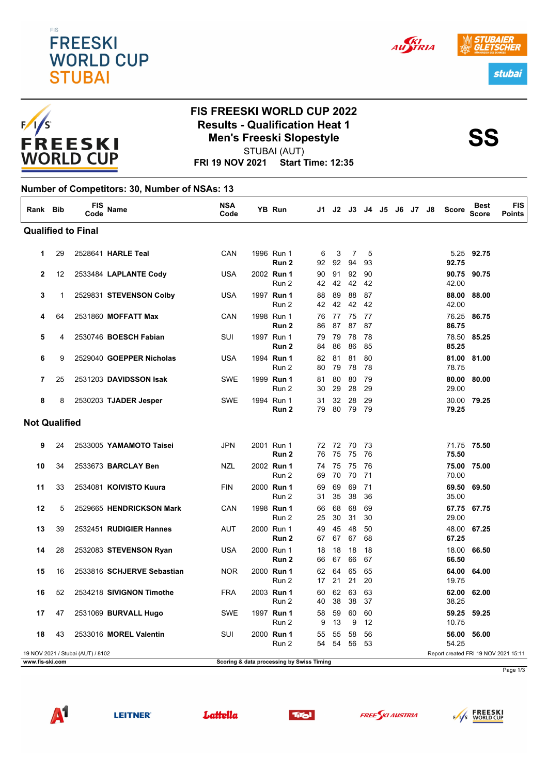





## **FIS FREESKI WORLD CUP 2022 Results - Qualification Heat 1**<br>Men's Freeski Slopestyle<br>SS **Men's Freeski Slopestyle**

**FRI 19 NOV 2021 Start Time: 12:35** STUBAI (AUT)

#### **Number of Competitors: 30, Number of NSAs: 13**

| Rank Bib             |    | <b>FIS</b><br>Code                | Name                       | <b>NSA</b><br>Code | <b>YB Run</b>                             |          |                |                      | J1 J2 J3 J4 J5 J6 J7 J8 |  |  | Score          | <b>Best</b><br><b>Score</b> | <b>FIS</b><br><b>Points</b>          |
|----------------------|----|-----------------------------------|----------------------------|--------------------|-------------------------------------------|----------|----------------|----------------------|-------------------------|--|--|----------------|-----------------------------|--------------------------------------|
|                      |    | <b>Qualified to Final</b>         |                            |                    |                                           |          |                |                      |                         |  |  |                |                             |                                      |
| 1                    | 29 |                                   | 2528641 HARLE Teal         | <b>CAN</b>         | 1996 Run 1<br>Run 2                       | 6<br>92  | 3<br>92        | $\overline{7}$<br>94 | 5<br>93                 |  |  | 5.25<br>92.75  | 92.75                       |                                      |
| $\mathbf{2}$         | 12 |                                   | 2533484 LAPLANTE Cody      | <b>USA</b>         | 2002 Run 1<br>Run 2                       | 90<br>42 | 91<br>42       | 92<br>42             | 90<br>42                |  |  | 42.00          | 90.75 90.75                 |                                      |
| 3                    | 1  |                                   | 2529831 STEVENSON Colby    | <b>USA</b>         | 1997 Run 1<br>Run 2                       | 88<br>42 | 89<br>42       | 88<br>42             | 87<br>42                |  |  | 88.00<br>42.00 | 88.00                       |                                      |
| 4                    | 64 |                                   | 2531860 MOFFATT Max        | CAN                | 1998 Run 1<br>Run 2                       | 76<br>86 | 77<br>87       | 75<br>87             | 77<br>87                |  |  | 86.75          | 76.25 86.75                 |                                      |
| 5                    | 4  |                                   | 2530746 BOESCH Fabian      | <b>SUI</b>         | 1997 Run 1<br>Run 2                       | 79<br>84 | 79<br>86       | 78<br>86             | 78<br>85                |  |  | 78.50<br>85.25 | 85.25                       |                                      |
| 6                    | 9  |                                   | 2529040 GOEPPER Nicholas   | <b>USA</b>         | 1994 Run 1<br>Run 2                       | 82<br>80 | 81<br>79       | 81<br>78             | 80<br>78                |  |  | 81.00<br>78.75 | 81.00                       |                                      |
| 7                    | 25 |                                   | 2531203 DAVIDSSON Isak     | <b>SWE</b>         | 1999 Run 1<br>Run 2                       | 81<br>30 | 80<br>29       | 80<br>28             | 79<br>29                |  |  | 80.00<br>29.00 | 80.00                       |                                      |
| 8                    | 8  |                                   | 2530203 TJADER Jesper      | <b>SWE</b>         | 1994 Run 1<br>Run 2                       | 31<br>79 | 32<br>80       | 28<br>79             | 29<br>79                |  |  | 79.25          | 30.00 79.25                 |                                      |
| <b>Not Qualified</b> |    |                                   |                            |                    |                                           |          |                |                      |                         |  |  |                |                             |                                      |
| 9                    | 24 |                                   | 2533005 YAMAMOTO Taisei    | <b>JPN</b>         | 2001 Run 1<br>Run 2                       | 76       | 72 72 70<br>75 | 75                   | 73<br>76                |  |  | 75.50          | 71.75 75.50                 |                                      |
| 10                   | 34 |                                   | 2533673 BARCLAY Ben        | <b>NZL</b>         | 2002 Run 1<br>Run 2                       | 74<br>69 | 75<br>70       | 75<br>70             | 76<br>71                |  |  | 70.00          | 75.00 75.00                 |                                      |
| 11                   | 33 |                                   | 2534081 KOIVISTO Kuura     | <b>FIN</b>         | 2000 Run 1<br>Run 2                       | 69<br>31 | 69<br>35       | 69<br>38             | 71<br>36                |  |  | 69.50<br>35.00 | 69.50                       |                                      |
| 12                   | 5  |                                   | 2529665 HENDRICKSON Mark   | CAN                | 1998 Run 1<br>Run 2                       | 66<br>25 | 68<br>30       | 68<br>31             | 69<br>30                |  |  | 67.75<br>29.00 | 67.75                       |                                      |
| 13                   | 39 |                                   | 2532451 RUDIGIER Hannes    | AUT                | 2000 Run 1<br>Run 2                       | 49<br>67 | 45<br>67       | 48<br>67             | 50<br>68                |  |  | 48.00<br>67.25 | 67.25                       |                                      |
| 14                   | 28 |                                   | 2532083 STEVENSON Ryan     | <b>USA</b>         | 2000 Run 1<br>Run 2                       | 18<br>66 | 18<br>67       | 18<br>66             | 18<br>67                |  |  | 18.00<br>66.50 | 66.50                       |                                      |
| 15                   | 16 |                                   | 2533816 SCHJERVE Sebastian | <b>NOR</b>         | 2000 Run 1<br>Run 2                       | 62<br>17 | 64<br>21       | 65<br>21             | 65<br>20                |  |  | 64.00<br>19.75 | 64.00                       |                                      |
| 16                   | 52 |                                   | 2534218 SIVIGNON Timothe   | <b>FRA</b>         | 2003 Run 1<br>Run 2                       | 60<br>40 | 62<br>38       | 63<br>38             | 63<br>37                |  |  | 62.00<br>38.25 | 62.00                       |                                      |
| 17                   | 47 |                                   | 2531069 BURVALL Hugo       | <b>SWE</b>         | 1997 Run 1<br>Run 2                       | 58<br>9  | 59<br>13       | 60<br>9              | 60<br>12                |  |  | 59.25<br>10.75 | 59.25                       |                                      |
| 18                   | 43 |                                   | 2533016 MOREL Valentin     | SUI                | 2000 Run 1<br>Run 2                       | 55<br>54 | 55<br>54       | 58<br>56             | 56<br>53                |  |  | 56.00<br>54.25 | 56.00                       |                                      |
| www.fis-ski.com      |    | 19 NOV 2021 / Stubai (AUT) / 8102 |                            |                    | Scoring & data processing by Swiss Timing |          |                |                      |                         |  |  |                |                             | Report created FRI 19 NOV 2021 15:11 |



Lattella





Page 1/3

stubai

AU STRIA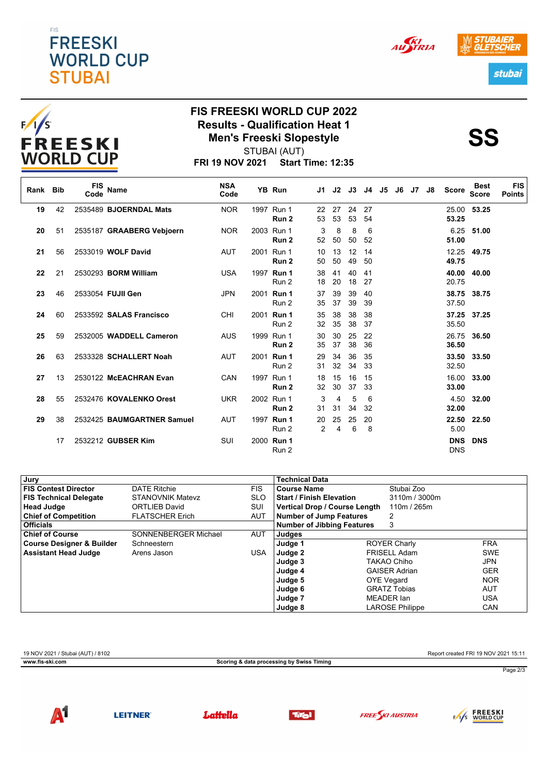# **FIS FREESKI WORLD CUP STUBAI**







 $F/I/S$ **FREESKI WORLD CUP** 

### **FIS FREESKI WORLD CUP 2022 Results - Qualification Heat 1**<br>Men's Freeski Slopestyle<br>SS STUBAI (AUT) **Men's Freeski Slopestyle**

**FRI 19 NOV 2021 Start Time: 12:35**

| Rank Bib |    | <b>FIS</b><br>Code | Name                       | <b>NSA</b><br>Code | YB Run                         | J1                   | J2       | J3       | J4       | J5 | J6 | J7 | J8 | <b>Score</b>             | <b>Best</b><br><b>Score</b> | <b>FIS</b><br><b>Points</b> |
|----------|----|--------------------|----------------------------|--------------------|--------------------------------|----------------------|----------|----------|----------|----|----|----|----|--------------------------|-----------------------------|-----------------------------|
| 19       | 42 |                    | 2535489 BJOERNDAL Mats     | <b>NOR</b>         | 1997 Run 1<br>Run <sub>2</sub> | 22<br>53             | 27<br>53 | 24<br>53 | 27<br>54 |    |    |    |    | 25.00<br>53.25           | 53.25                       |                             |
| 20       | 51 |                    | 2535187 GRAABERG Vebjoern  | <b>NOR</b>         | 2003 Run 1<br>Run 2            | 3<br>52              | 8<br>50  | 8<br>50  | 6<br>52  |    |    |    |    | 6.25<br>51.00            | 51.00                       |                             |
| 21       | 56 |                    | 2533019 WOLF David         | <b>AUT</b>         | 2001 Run 1<br>Run 2            | 10<br>50             | 13<br>50 | 12<br>49 | 14<br>50 |    |    |    |    | 12.25<br>49.75           | 49.75                       |                             |
| 22       | 21 |                    | 2530293 BORM William       | <b>USA</b>         | 1997 Run 1<br>Run 2            | 38<br>18             | 41<br>20 | 40<br>18 | 41<br>27 |    |    |    |    | 40.00<br>20.75           | 40.00                       |                             |
| 23       | 46 |                    | 2533054 FUJII Gen          | <b>JPN</b>         | 2001 Run 1<br>Run 2            | 37<br>35             | 39<br>37 | 39<br>39 | 40<br>39 |    |    |    |    | 38.75<br>37.50           | 38.75                       |                             |
| 24       | 60 |                    | 2533592 SALAS Francisco    | CHI                | 2001 Run 1<br>Run 2            | 35<br>32             | 38<br>35 | 38<br>38 | 38<br>37 |    |    |    |    | 37.25<br>35.50           | 37.25                       |                             |
| 25       | 59 |                    | 2532005 WADDELL Cameron    | <b>AUS</b>         | 1999 Run 1<br>Run 2            | 30<br>35             | 30<br>37 | 25<br>38 | 22<br>36 |    |    |    |    | 26.75<br>36.50           | 36.50                       |                             |
| 26       | 63 |                    | 2533328 SCHALLERT Noah     | <b>AUT</b>         | 2001 Run 1<br>Run 2            | 29<br>31             | 34<br>32 | 36<br>34 | 35<br>33 |    |    |    |    | 33.50<br>32.50           | 33.50                       |                             |
| 27       | 13 |                    | 2530122 McEACHRAN Evan     | CAN                | 1997 Run 1<br>Run 2            | 18<br>32             | 15<br>30 | 16<br>37 | 15<br>33 |    |    |    |    | 16.00<br>33.00           | 33.00                       |                             |
| 28       | 55 |                    | 2532476 KOVALENKO Orest    | <b>UKR</b>         | 2002 Run 1<br>Run 2            | 3<br>31              | 4<br>31  | 5<br>34  | 6<br>32  |    |    |    |    | 4.50<br>32.00            | 32.00                       |                             |
| 29       | 38 |                    | 2532425 BAUMGARTNER Samuel | <b>AUT</b>         | 1997 Run 1<br>Run 2            | 20<br>$\overline{2}$ | 25<br>4  | 25<br>6  | 20<br>8  |    |    |    |    | 22.50<br>5.00            | 22.50                       |                             |
|          | 17 |                    | 2532212 GUBSER Kim         | SUI                | 2000 Run 1<br>Run 2            |                      |          |          |          |    |    |    |    | <b>DNS</b><br><b>DNS</b> | <b>DNS</b>                  |                             |

| Jury                                 |                         |            | <b>Technical Data</b>             |                        |            |
|--------------------------------------|-------------------------|------------|-----------------------------------|------------------------|------------|
| <b>FIS Contest Director</b>          | <b>DATE Ritchie</b>     | <b>FIS</b> | <b>Course Name</b>                | Stubai Zoo             |            |
| <b>FIS Technical Delegate</b>        | <b>STANOVNIK Matevz</b> | <b>SLO</b> | <b>Start / Finish Elevation</b>   | 3110m / 3000m          |            |
| <b>Head Judge</b>                    | <b>ORTLIEB David</b>    | SUI        | Vertical Drop / Course Length     | 110m / 265m            |            |
| <b>Chief of Competition</b>          | <b>FLATSCHER Erich</b>  | AUT        | Number of Jump Features           |                        |            |
| <b>Officials</b>                     |                         |            | <b>Number of Jibbing Features</b> | 3                      |            |
| <b>Chief of Course</b>               | SONNENBERGER Michael    | <b>AUT</b> | Judges                            |                        |            |
| <b>Course Designer &amp; Builder</b> | Schneestern             |            | Judge 1                           | <b>ROYER Charly</b>    | <b>FRA</b> |
| <b>Assistant Head Judge</b>          | Arens Jason             | USA        | Judge 2                           | <b>FRISELL Adam</b>    | <b>SWE</b> |
|                                      |                         |            | Judge 3                           | TAKAO Chiho            | <b>JPN</b> |
|                                      |                         |            | Judge 4                           | <b>GAISER Adrian</b>   | <b>GER</b> |
|                                      |                         |            | Judge 5                           | <b>OYE Vegard</b>      | <b>NOR</b> |
|                                      |                         |            | Judge 6                           | <b>GRATZ Tobias</b>    | <b>AUT</b> |
|                                      |                         |            | Judge 7                           | MEADER Ian             | <b>USA</b> |
|                                      |                         |            | Judge 8                           | <b>LAROSE Philippe</b> | CAN        |

| 19 NOV 2021 / Stubai (AUT) / 8102 |                                           | Report created FRI 19 NOV 2021 15:11 |
|-----------------------------------|-------------------------------------------|--------------------------------------|
| www.fis-ski.com                   | Scoring & data processing by Swiss Timing |                                      |
|                                   |                                           | Page 2/3                             |
|                                   |                                           |                                      |



Lattella